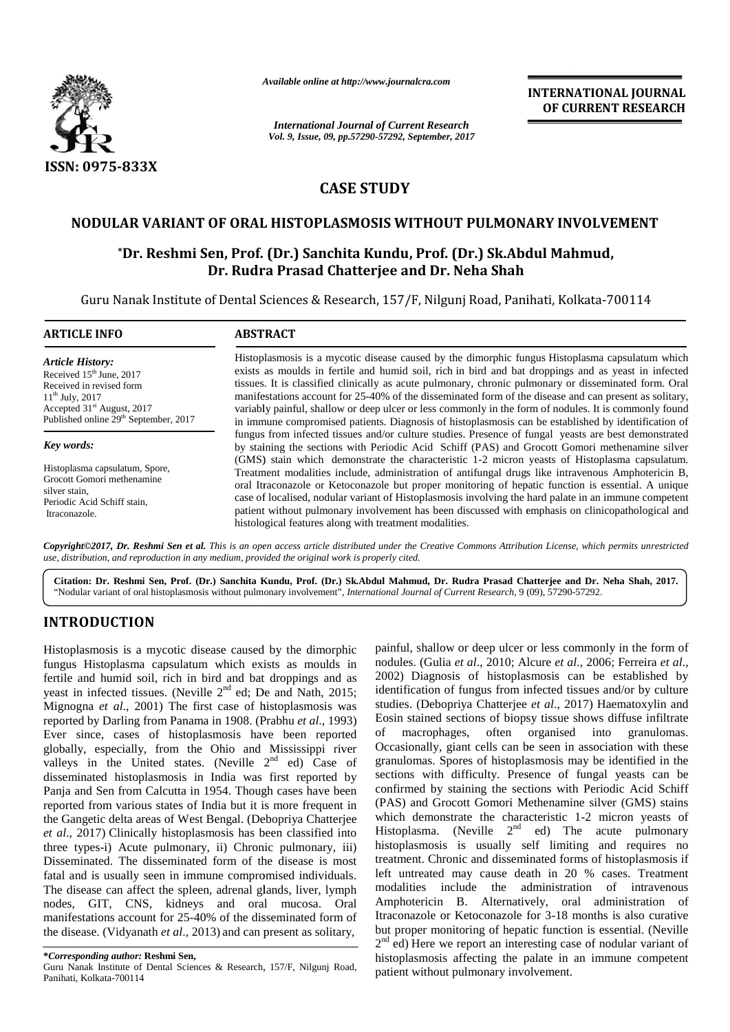

*Available online at http://www.journalcra.com*

**INTERNATIONAL JOURNAL OF CURRENT RESEARCH**

# **CASE STUDY CASE STUDY**

# **NODULAR VARIANT OF ORAL HISTOPLASMOSIS WITHOUT PULMONARY INVOLVEMENT**

# **\*Dr. Reshmi Sen, Prof. (Dr.) Sanchita Kundu, Prof. (Dr.) Sk.Abdul Mahmud, Dr. Rudra Prasad Chatterjee and Dr. Neha Shah** OF ORAL HISTOPLASMOSIS WITHOUT PULMONARY<br>en, Prof. (Dr.) Sanchita Kundu, Prof. (Dr.) Sk.Abdul M<br>Dr. Rudra Prasad Chatterjee and Dr. Neha Shah

|                                                                                                                                                                                                                                                                                                                                                                                                                                                                                                                                                                                                                                                                                                                                                                                                                                                                                                                                                                                                                                                                                                                                                                                                                                                                                                                                                                                                     |                                                                                                                                                                                                                                                                                                                                                                                                                                                                                                                                                                                                                                                                                                                                                                                                                                                                                                                                                                                                                                                                                                                                                                                                                                                                                                                                                                                                                                         | <b>INTERNATIONAL JOURNAL</b><br>OF CURRENT RESEARCH                                                                                                                                                                                                                                                                                                                                                                                                                                                                                                                                                                                                                                                                                                                                                                                                                                                                                                                                                                                                                                                                                                                                                                                                                                                                                                                                                                                             |
|-----------------------------------------------------------------------------------------------------------------------------------------------------------------------------------------------------------------------------------------------------------------------------------------------------------------------------------------------------------------------------------------------------------------------------------------------------------------------------------------------------------------------------------------------------------------------------------------------------------------------------------------------------------------------------------------------------------------------------------------------------------------------------------------------------------------------------------------------------------------------------------------------------------------------------------------------------------------------------------------------------------------------------------------------------------------------------------------------------------------------------------------------------------------------------------------------------------------------------------------------------------------------------------------------------------------------------------------------------------------------------------------------------|-----------------------------------------------------------------------------------------------------------------------------------------------------------------------------------------------------------------------------------------------------------------------------------------------------------------------------------------------------------------------------------------------------------------------------------------------------------------------------------------------------------------------------------------------------------------------------------------------------------------------------------------------------------------------------------------------------------------------------------------------------------------------------------------------------------------------------------------------------------------------------------------------------------------------------------------------------------------------------------------------------------------------------------------------------------------------------------------------------------------------------------------------------------------------------------------------------------------------------------------------------------------------------------------------------------------------------------------------------------------------------------------------------------------------------------------|-------------------------------------------------------------------------------------------------------------------------------------------------------------------------------------------------------------------------------------------------------------------------------------------------------------------------------------------------------------------------------------------------------------------------------------------------------------------------------------------------------------------------------------------------------------------------------------------------------------------------------------------------------------------------------------------------------------------------------------------------------------------------------------------------------------------------------------------------------------------------------------------------------------------------------------------------------------------------------------------------------------------------------------------------------------------------------------------------------------------------------------------------------------------------------------------------------------------------------------------------------------------------------------------------------------------------------------------------------------------------------------------------------------------------------------------------|
|                                                                                                                                                                                                                                                                                                                                                                                                                                                                                                                                                                                                                                                                                                                                                                                                                                                                                                                                                                                                                                                                                                                                                                                                                                                                                                                                                                                                     |                                                                                                                                                                                                                                                                                                                                                                                                                                                                                                                                                                                                                                                                                                                                                                                                                                                                                                                                                                                                                                                                                                                                                                                                                                                                                                                                                                                                                                         | <b>International Journal of Current Research</b><br>Vol. 9, Issue, 09, pp.57290-57292, September, 2017                                                                                                                                                                                                                                                                                                                                                                                                                                                                                                                                                                                                                                                                                                                                                                                                                                                                                                                                                                                                                                                                                                                                                                                                                                                                                                                                          |
| <b>ISSN: 0975-833X</b>                                                                                                                                                                                                                                                                                                                                                                                                                                                                                                                                                                                                                                                                                                                                                                                                                                                                                                                                                                                                                                                                                                                                                                                                                                                                                                                                                                              |                                                                                                                                                                                                                                                                                                                                                                                                                                                                                                                                                                                                                                                                                                                                                                                                                                                                                                                                                                                                                                                                                                                                                                                                                                                                                                                                                                                                                                         |                                                                                                                                                                                                                                                                                                                                                                                                                                                                                                                                                                                                                                                                                                                                                                                                                                                                                                                                                                                                                                                                                                                                                                                                                                                                                                                                                                                                                                                 |
|                                                                                                                                                                                                                                                                                                                                                                                                                                                                                                                                                                                                                                                                                                                                                                                                                                                                                                                                                                                                                                                                                                                                                                                                                                                                                                                                                                                                     | <b>CASE STUDY</b>                                                                                                                                                                                                                                                                                                                                                                                                                                                                                                                                                                                                                                                                                                                                                                                                                                                                                                                                                                                                                                                                                                                                                                                                                                                                                                                                                                                                                       |                                                                                                                                                                                                                                                                                                                                                                                                                                                                                                                                                                                                                                                                                                                                                                                                                                                                                                                                                                                                                                                                                                                                                                                                                                                                                                                                                                                                                                                 |
|                                                                                                                                                                                                                                                                                                                                                                                                                                                                                                                                                                                                                                                                                                                                                                                                                                                                                                                                                                                                                                                                                                                                                                                                                                                                                                                                                                                                     |                                                                                                                                                                                                                                                                                                                                                                                                                                                                                                                                                                                                                                                                                                                                                                                                                                                                                                                                                                                                                                                                                                                                                                                                                                                                                                                                                                                                                                         |                                                                                                                                                                                                                                                                                                                                                                                                                                                                                                                                                                                                                                                                                                                                                                                                                                                                                                                                                                                                                                                                                                                                                                                                                                                                                                                                                                                                                                                 |
|                                                                                                                                                                                                                                                                                                                                                                                                                                                                                                                                                                                                                                                                                                                                                                                                                                                                                                                                                                                                                                                                                                                                                                                                                                                                                                                                                                                                     |                                                                                                                                                                                                                                                                                                                                                                                                                                                                                                                                                                                                                                                                                                                                                                                                                                                                                                                                                                                                                                                                                                                                                                                                                                                                                                                                                                                                                                         | NODULAR VARIANT OF ORAL HISTOPLASMOSIS WITHOUT PULMONARY INVOLVEMENT                                                                                                                                                                                                                                                                                                                                                                                                                                                                                                                                                                                                                                                                                                                                                                                                                                                                                                                                                                                                                                                                                                                                                                                                                                                                                                                                                                            |
|                                                                                                                                                                                                                                                                                                                                                                                                                                                                                                                                                                                                                                                                                                                                                                                                                                                                                                                                                                                                                                                                                                                                                                                                                                                                                                                                                                                                     |                                                                                                                                                                                                                                                                                                                                                                                                                                                                                                                                                                                                                                                                                                                                                                                                                                                                                                                                                                                                                                                                                                                                                                                                                                                                                                                                                                                                                                         | *Dr. Reshmi Sen, Prof. (Dr.) Sanchita Kundu, Prof. (Dr.) Sk.Abdul Mahmud,<br>Dr. Rudra Prasad Chatterjee and Dr. Neha Shah                                                                                                                                                                                                                                                                                                                                                                                                                                                                                                                                                                                                                                                                                                                                                                                                                                                                                                                                                                                                                                                                                                                                                                                                                                                                                                                      |
|                                                                                                                                                                                                                                                                                                                                                                                                                                                                                                                                                                                                                                                                                                                                                                                                                                                                                                                                                                                                                                                                                                                                                                                                                                                                                                                                                                                                     |                                                                                                                                                                                                                                                                                                                                                                                                                                                                                                                                                                                                                                                                                                                                                                                                                                                                                                                                                                                                                                                                                                                                                                                                                                                                                                                                                                                                                                         | Guru Nanak Institute of Dental Sciences & Research, 157/F, Nilgunj Road, Panihati, Kolkata-700114                                                                                                                                                                                                                                                                                                                                                                                                                                                                                                                                                                                                                                                                                                                                                                                                                                                                                                                                                                                                                                                                                                                                                                                                                                                                                                                                               |
| <b>ARTICLE INFO</b>                                                                                                                                                                                                                                                                                                                                                                                                                                                                                                                                                                                                                                                                                                                                                                                                                                                                                                                                                                                                                                                                                                                                                                                                                                                                                                                                                                                 | <b>ABSTRACT</b>                                                                                                                                                                                                                                                                                                                                                                                                                                                                                                                                                                                                                                                                                                                                                                                                                                                                                                                                                                                                                                                                                                                                                                                                                                                                                                                                                                                                                         |                                                                                                                                                                                                                                                                                                                                                                                                                                                                                                                                                                                                                                                                                                                                                                                                                                                                                                                                                                                                                                                                                                                                                                                                                                                                                                                                                                                                                                                 |
| <b>Article History:</b><br>Received 15 <sup>th</sup> June, 2017<br>Received in revised form<br>$11^{th}$ July, 2017<br>Accepted 31 <sup>st</sup> August, 2017<br>Published online 29 <sup>th</sup> September, 2017                                                                                                                                                                                                                                                                                                                                                                                                                                                                                                                                                                                                                                                                                                                                                                                                                                                                                                                                                                                                                                                                                                                                                                                  | Histoplasmosis is a mycotic disease caused by the dimorphic fungus Histoplasma capsulatum which<br>exists as moulds in fertile and humid soil, rich in bird and bat droppings and as yeast in infected<br>tissues. It is classified clinically as acute pulmonary, chronic pulmonary or disseminated form. Oral<br>manifestations account for 25-40% of the disseminated form of the disease and can present as solitary,<br>variably painful, shallow or deep ulcer or less commonly in the form of nodules. It is commonly found<br>in immune compromised patients. Diagnosis of histoplasmosis can be established by identification of<br>fungus from infected tissues and/or culture studies. Presence of fungal yeasts are best demonstrated<br>by staining the sections with Periodic Acid Schiff (PAS) and Grocott Gomori methenamine silver<br>(GMS) stain which demonstrate the characteristic 1-2 micron yeasts of Histoplasma capsulatum.<br>Treatment modalities include, administration of antifungal drugs like intravenous Amphotericin B,<br>oral Itraconazole or Ketoconazole but proper monitoring of hepatic function is essential. A unique<br>case of localised, nodular variant of Histoplasmosis involving the hard palate in an immune competent<br>patient without pulmonary involvement has been discussed with emphasis on clinicopathological and<br>histological features along with treatment modalities. |                                                                                                                                                                                                                                                                                                                                                                                                                                                                                                                                                                                                                                                                                                                                                                                                                                                                                                                                                                                                                                                                                                                                                                                                                                                                                                                                                                                                                                                 |
| Key words:                                                                                                                                                                                                                                                                                                                                                                                                                                                                                                                                                                                                                                                                                                                                                                                                                                                                                                                                                                                                                                                                                                                                                                                                                                                                                                                                                                                          |                                                                                                                                                                                                                                                                                                                                                                                                                                                                                                                                                                                                                                                                                                                                                                                                                                                                                                                                                                                                                                                                                                                                                                                                                                                                                                                                                                                                                                         |                                                                                                                                                                                                                                                                                                                                                                                                                                                                                                                                                                                                                                                                                                                                                                                                                                                                                                                                                                                                                                                                                                                                                                                                                                                                                                                                                                                                                                                 |
| Histoplasma capsulatum, Spore,<br>Grocott Gomori methenamine<br>silver stain,<br>Periodic Acid Schiff stain,<br>Itraconazole.                                                                                                                                                                                                                                                                                                                                                                                                                                                                                                                                                                                                                                                                                                                                                                                                                                                                                                                                                                                                                                                                                                                                                                                                                                                                       |                                                                                                                                                                                                                                                                                                                                                                                                                                                                                                                                                                                                                                                                                                                                                                                                                                                                                                                                                                                                                                                                                                                                                                                                                                                                                                                                                                                                                                         |                                                                                                                                                                                                                                                                                                                                                                                                                                                                                                                                                                                                                                                                                                                                                                                                                                                                                                                                                                                                                                                                                                                                                                                                                                                                                                                                                                                                                                                 |
| use, distribution, and reproduction in any medium, provided the original work is properly cited.                                                                                                                                                                                                                                                                                                                                                                                                                                                                                                                                                                                                                                                                                                                                                                                                                                                                                                                                                                                                                                                                                                                                                                                                                                                                                                    |                                                                                                                                                                                                                                                                                                                                                                                                                                                                                                                                                                                                                                                                                                                                                                                                                                                                                                                                                                                                                                                                                                                                                                                                                                                                                                                                                                                                                                         | Copyright@2017, Dr. Reshmi Sen et al. This is an open access article distributed under the Creative Commons Attribution License, which permits unrestricted                                                                                                                                                                                                                                                                                                                                                                                                                                                                                                                                                                                                                                                                                                                                                                                                                                                                                                                                                                                                                                                                                                                                                                                                                                                                                     |
|                                                                                                                                                                                                                                                                                                                                                                                                                                                                                                                                                                                                                                                                                                                                                                                                                                                                                                                                                                                                                                                                                                                                                                                                                                                                                                                                                                                                     |                                                                                                                                                                                                                                                                                                                                                                                                                                                                                                                                                                                                                                                                                                                                                                                                                                                                                                                                                                                                                                                                                                                                                                                                                                                                                                                                                                                                                                         | Citation: Dr. Reshmi Sen, Prof. (Dr.) Sanchita Kundu, Prof. (Dr.) Sk.Abdul Mahmud, Dr. Rudra Prasad Chatterjee and Dr. Neha Shah, 2017.<br>"Nodular variant of oral histoplasmosis without pulmonary involvement", International Journal of Current Research, 9 (09), 57290-57292.                                                                                                                                                                                                                                                                                                                                                                                                                                                                                                                                                                                                                                                                                                                                                                                                                                                                                                                                                                                                                                                                                                                                                              |
| <b>INTRODUCTION</b>                                                                                                                                                                                                                                                                                                                                                                                                                                                                                                                                                                                                                                                                                                                                                                                                                                                                                                                                                                                                                                                                                                                                                                                                                                                                                                                                                                                 |                                                                                                                                                                                                                                                                                                                                                                                                                                                                                                                                                                                                                                                                                                                                                                                                                                                                                                                                                                                                                                                                                                                                                                                                                                                                                                                                                                                                                                         |                                                                                                                                                                                                                                                                                                                                                                                                                                                                                                                                                                                                                                                                                                                                                                                                                                                                                                                                                                                                                                                                                                                                                                                                                                                                                                                                                                                                                                                 |
| Histoplasmosis is a mycotic disease caused by the dimorphic<br>fungus Histoplasma capsulatum which exists as moulds in<br>fertile and humid soil, rich in bird and bat droppings and as<br>yeast in infected tissues. (Neville 2 <sup>nd</sup> ed; De and Nath, 2015;<br>Mignogna et al., 2001) The first case of histoplasmosis was<br>reported by Darling from Panama in 1908. (Prabhu et al., 1993)<br>Ever since, cases of histoplasmosis have been reported<br>globally, especially, from the Ohio and Mississippi river<br>valleys in the United states. (Neville 2 <sup>nd</sup> ed) Case of<br>disseminated histoplasmosis in India was first reported by<br>Panja and Sen from Calcutta in 1954. Though cases have been<br>reported from various states of India but it is more frequent in<br>the Gangetic delta areas of West Bengal. (Debopriya Chatterjee<br>et al., 2017) Clinically histoplasmosis has been classified into<br>three types-i) Acute pulmonary, ii) Chronic pulmonary, iii)<br>Disseminated. The disseminated form of the disease is most<br>fatal and is usually seen in immune compromised individuals.<br>The disease can affect the spleen, adrenal glands, liver, lymph<br>nodes, GIT, CNS, kidneys and oral mucosa. Oral<br>manifestations account for 25-40% of the disseminated form of<br>the disease. (Vidyanath et al., 2013) and can present as solitary, |                                                                                                                                                                                                                                                                                                                                                                                                                                                                                                                                                                                                                                                                                                                                                                                                                                                                                                                                                                                                                                                                                                                                                                                                                                                                                                                                                                                                                                         | painful, shallow or deep ulcer or less commonly in the form of<br>nodules. (Gulia et al., 2010; Alcure et al., 2006; Ferreira et al.,<br>2002) Diagnosis of histoplasmosis can be established by<br>identification of fungus from infected tissues and/or by culture<br>studies. (Debopriya Chatterjee et al., 2017) Haematoxylin and<br>Eosin stained sections of biopsy tissue shows diffuse infiltrate<br>often organised into granulomas.<br>macrophages,<br>of<br>Occasionally, giant cells can be seen in association with these<br>granulomas. Spores of histoplasmosis may be identified in the<br>sections with difficulty. Presence of fungal yeasts can be<br>confirmed by staining the sections with Periodic Acid Schiff<br>(PAS) and Grocott Gomori Methenamine silver (GMS) stains<br>which demonstrate the characteristic 1-2 micron yeasts of<br>Histoplasma. (Neville $2^{nd}$ ed) The acute pulmonary<br>histoplasmosis is usually self limiting and requires no<br>treatment. Chronic and disseminated forms of histoplasmosis if<br>left untreated may cause death in 20 % cases. Treatment<br>modalities include the<br>administration of intravenous<br>Amphotericin B. Alternatively, oral administration of<br>Itraconazole or Ketoconazole for 3-18 months is also curative<br>but proper monitoring of hepatic function is essential. (Neville<br>$2nd$ ed) Here we report an interesting case of nodular variant of |
| *Corresponding author: Reshmi Sen,<br>Guru Nanak Institute of Dental Sciences & Research, 157/F, Nilgunj Road,<br>Panihati, Kolkata-700114                                                                                                                                                                                                                                                                                                                                                                                                                                                                                                                                                                                                                                                                                                                                                                                                                                                                                                                                                                                                                                                                                                                                                                                                                                                          |                                                                                                                                                                                                                                                                                                                                                                                                                                                                                                                                                                                                                                                                                                                                                                                                                                                                                                                                                                                                                                                                                                                                                                                                                                                                                                                                                                                                                                         | histoplasmosis affecting the palate in an immune competent<br>patient without pulmonary involvement.                                                                                                                                                                                                                                                                                                                                                                                                                                                                                                                                                                                                                                                                                                                                                                                                                                                                                                                                                                                                                                                                                                                                                                                                                                                                                                                                            |

# **INTRODUCTION INTRODUCTION**

**<sup>\*</sup>***Corresponding author:* **Reshmi Sen, \****Corresponding* **Reshmi Sen,**Guru Nanak Institute of Dental Sciences & Research, 157/F, Nilgunj Road, Panihati, Kolkata-700114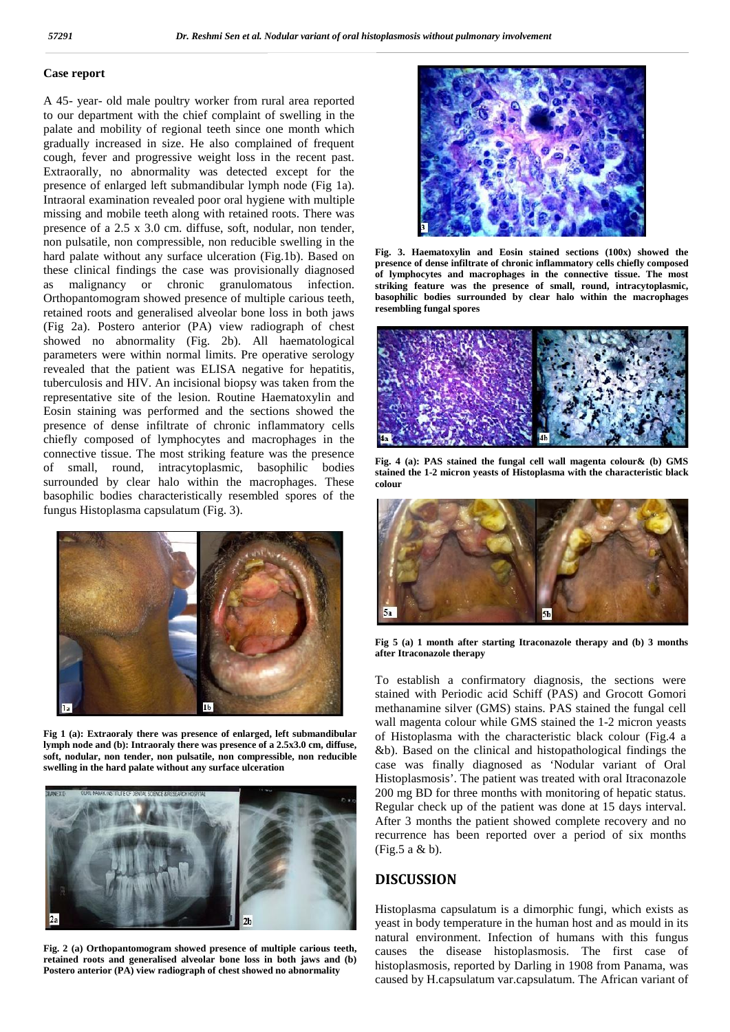#### **Case report**

A 45- year- old male poultry worker from rural area reported to our department with the chief complaint of swelling in the palate and mobility of regional teeth since one month which gradually increased in size. He also complained of frequent cough, fever and progressive weight loss in the recent past. Extraorally, no abnormality was detected except for the presence of enlarged left submandibular lymph node (Fig 1a). Intraoral examination revealed poor oral hygiene with multiple missing and mobile teeth along with retained roots. There was presence of a 2.5 x 3.0 cm. diffuse, soft, nodular, non tender, non pulsatile, non compressible, non reducible swelling in the hard palate without any surface ulceration (Fig.1b). Based on these clinical findings the case was provisionally diagnosed as malignancy or chronic granulomatous infection. Orthopantomogram showed presence of multiple carious teeth, retained roots and generalised alveolar bone loss in both jaws (Fig 2a). Postero anterior (PA) view radiograph of chest showed no abnormality (Fig. 2b). All haematological parameters were within normal limits. Pre operative serology revealed that the patient was ELISA negative for hepatitis, tuberculosis and HIV. An incisional biopsy was taken from the representative site of the lesion. Routine Haematoxylin and Eosin staining was performed and the sections showed the presence of dense infiltrate of chronic inflammatory cells chiefly composed of lymphocytes and macrophages in the connective tissue. The most striking feature was the presence of small, round, intracytoplasmic, basophilic bodies surrounded by clear halo within the macrophages. These basophilic bodies characteristically resembled spores of the fungus Histoplasma capsulatum (Fig. 3).



**Fig 1 (a): Extraoraly there was presence of enlarged, left submandibular lymph node and (b): Intraoraly there was presence of a 2.5x3.0 cm, diffuse, soft, nodular, non tender, non pulsatile, non compressible, non reducible swelling in the hard palate without any surface ulceration**



**Fig. 2 (a) Orthopantomogram showed presence of multiple carious teeth, retained roots and generalised alveolar bone loss in both jaws and (b) Postero anterior (PA) view radiograph of chest showed no abnormality**



**Fig. 3. Haematoxylin and Eosin stained sections (100x) showed the presence of dense infiltrate of chronic inflammatory cells chiefly composed of lymphocytes and macrophages in the connective tissue. The most striking feature was the presence of small, round, intracytoplasmic, basophilic bodies surrounded by clear halo within the macrophages resembling fungal spores**



**Fig. 4 (a): PAS stained the fungal cell wall magenta colour& (b) GMS stained the 1-2 micron yeasts of Histoplasma with the characteristic black colour**



**Fig 5 (a) 1 month after starting Itraconazole therapy and (b) 3 months after Itraconazole therapy**

To establish a confirmatory diagnosis, the sections were stained with Periodic acid Schiff (PAS) and Grocott Gomori methanamine silver (GMS) stains. PAS stained the fungal cell wall magenta colour while GMS stained the 1-2 micron yeasts of Histoplasma with the characteristic black colour (Fig.4 a &b). Based on the clinical and histopathological findings the case was finally diagnosed as 'Nodular variant of Oral Histoplasmosis'. The patient was treated with oral Itraconazole 200 mg BD for three months with monitoring of hepatic status. Regular check up of the patient was done at 15 days interval. After 3 months the patient showed complete recovery and no recurrence has been reported over a period of six months (Fig.5 a & b).

## **DISCUSSION**

Histoplasma capsulatum is a dimorphic fungi, which exists as yeast in body temperature in the human host and as mould in its natural environment. Infection of humans with this fungus causes the disease histoplasmosis. The first case of histoplasmosis, reported by Darling in 1908 from Panama, was caused by H.capsulatum var.capsulatum. The African variant of